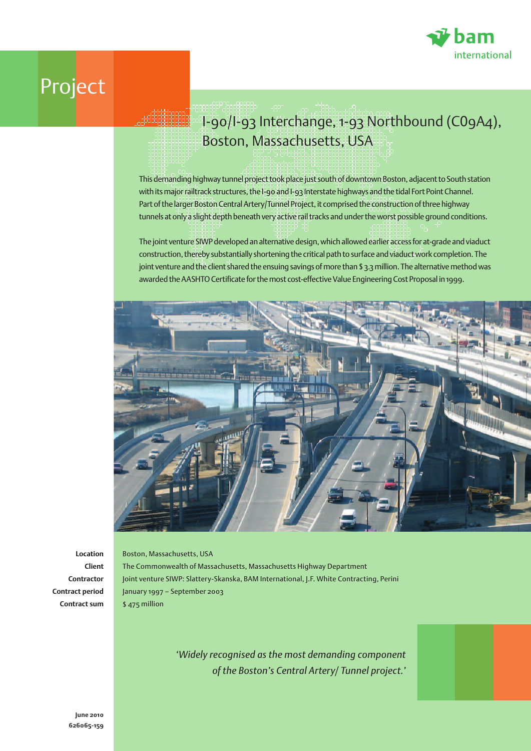

## Project

## I-90/I-93 Interchange, 1-93 Northbound (C09A4), Boston, Massachusetts, USA

This demanding highway tunnel project took place just south of downtown Boston, adjacent to South station with its major railtrack structures, the I-90 and I-93 Interstate highways and the tidal Fort Point Channel. Part of the larger Boston Central Artery/Tunnel Project, it comprised the construction of three highway tunnels at only a slight depth beneath very active rail tracks and under the worst possible ground conditions.

The joint venture SIWP developed an alternative design, which allowed earlier access for at-grade and viaduct construction, thereby substantially shortening the critical path to surface and viaduct work completion. The joint venture and the client shared the ensuing savings of more than \$ 3.3 million. The alternative method was awarded the AASHTO Certificate for the most cost-effective Value Engineering Cost Proposal in 1999.



**Location Client Contractor Contract period Contract sum**

Boston, Massachusetts, USA The Commonwealth of Massachusetts, Massachusetts Highway Department Joint venture SIWP: Slattery-Skanska, BAM International, J.F. White Contracting, Perini January 1997 – September 2003 \$ 475 million

> *'Widely recognised as the most demanding component of the Boston's Central Artery/ Tunnel project.'*